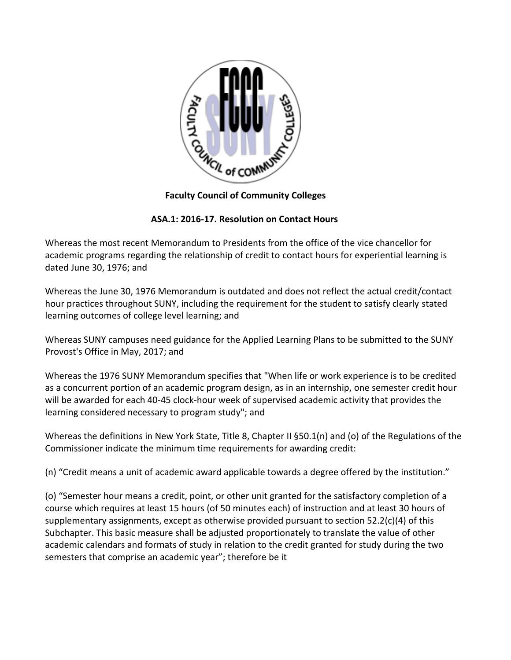

**Faculty Council of Community Colleges**

## **ASA.1: 2016-17. Resolution on Contact Hours**

Whereas the most recent Memorandum to Presidents from the office of the vice chancellor for academic programs regarding the relationship of credit to contact hours for experiential learning is dated June 30, 1976; and

Whereas the June 30, 1976 Memorandum is outdated and does not reflect the actual credit/contact hour practices throughout SUNY, including the requirement for the student to satisfy clearly stated learning outcomes of college level learning; and

Whereas SUNY campuses need guidance for the Applied Learning Plans to be submitted to the SUNY Provost's Office in May, 2017; and

Whereas the 1976 SUNY Memorandum specifies that "When life or work experience is to be credited as a concurrent portion of an academic program design, as in an internship, one semester credit hour will be awarded for each 40-45 clock-hour week of supervised academic activity that provides the learning considered necessary to program study"; and

Whereas the definitions in New York State, Title 8, Chapter II §50.1(n) and (o) of the Regulations of the Commissioner indicate the minimum time requirements for awarding credit:

(n) "Credit means a unit of academic award applicable towards a degree offered by the institution."

(o) "Semester hour means a credit, point, or other unit granted for the satisfactory completion of a course which requires at least 15 hours (of 50 minutes each) of instruction and at least 30 hours of supplementary assignments, except as otherwise provided pursuant to section 52.2(c)(4) of this Subchapter. This basic measure shall be adjusted proportionately to translate the value of other academic calendars and formats of study in relation to the credit granted for study during the two semesters that comprise an academic year"; therefore be it